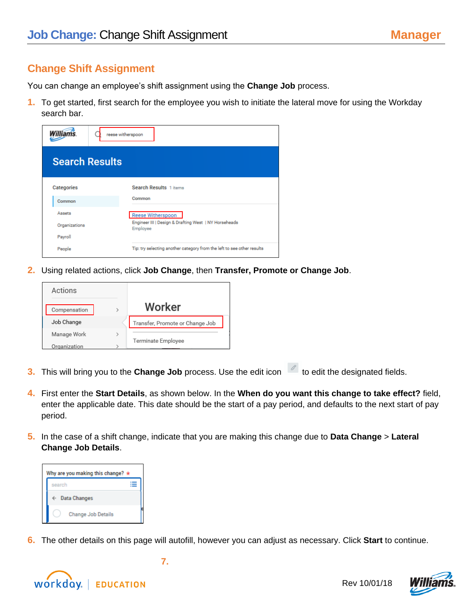## **Change Shift Assignment**

You can change an employee's shift assignment using the **Change Job** process.

**1.** To get started, first search for the employee you wish to initiate the lateral move for using the Workday search bar.



**2.** Using related actions, click **Job Change**, then **Transfer, Promote or Change Job**.

| Actions      |                                 |
|--------------|---------------------------------|
| Compensation | Worker                          |
| Job Change   | Transfer, Promote or Change Job |
| Manage Work  |                                 |
| Organization | Terminate Employee              |

- **3.** This will bring you to the **Change Job** process. Use the edit icon **the designated fields**.
- **4.** First enter the **Start Details**, as shown below. In the **When do you want this change to take effect?** field, enter the applicable date. This date should be the start of a pay period, and defaults to the next start of pay period.
- **5.** In the case of a shift change, indicate that you are making this change due to **Data Change** > **Lateral Change Job Details**.



**6.** The other details on this page will autofill, however you can adjust as necessary. Click **Start** to continue.

**7.**